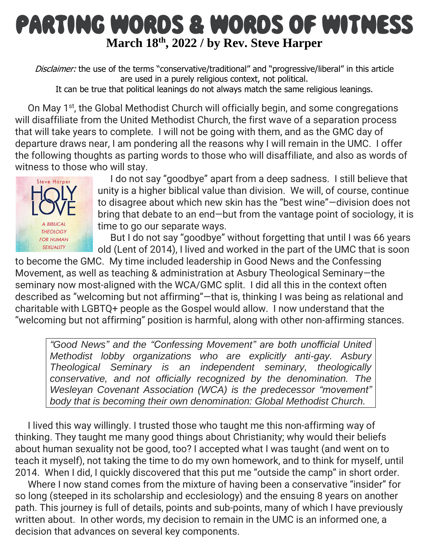## PARTING WORDS & WORDS OF WITNESS **March 18th, 2022 / by Rev. Steve [Harper](https://www.ministrymatters.com/all/author/steve_harper)**

Disclaimer: the use of the terms "conservative/traditional" and "progressive/liberal" in this article are used in a purely religious context, not political.

It can be true that political leanings do not always match the same religious leanings.

On May 1<sup>st</sup>, the Global Methodist Church will officially begin, and some congregations will disaffiliate from the United Methodist Church, the first wave of a separation process that will take years to complete. I will not be going with them, and as the GMC day of departure draws near, I am pondering all the reasons why I will remain in the UMC. I offer the following thoughts as parting words to those who will disaffiliate, and also as words of witness to those who will stay.



I do not say "goodbye" apart from a deep sadness. I still believe that unity is a higher biblical value than division. We will, of course, continue to disagree about which new skin has the "best wine"—division does not bring that debate to an end—but from the vantage point of sociology, it is time to go our separate ways.

But I do not say "goodbye" without forgetting that until I was 66 years old (Lent of 2014), I lived and worked in the part of the UMC that is soon

to become the GMC. My time included leadership in Good News and the Confessing Movement, as well as teaching & administration at Asbury Theological Seminary—the seminary now most-aligned with the WCA/GMC split. I did all this in the context often described as "welcoming but not affirming"—that is, thinking I was being as relational and charitable with LGBTQ+ people as the Gospel would allow. I now understand that the "welcoming but not affirming" position is harmful, along with other non-affirming stances.

*"Good News" and the "Confessing Movement" are both unofficial United Methodist lobby organizations who are explicitly anti-gay. Asbury Theological Seminary is an independent seminary, theologically conservative, and not officially recognized by the denomination. The Wesleyan Covenant Association (WCA) is the predecessor "movement" body that is becoming their own denomination: Global Methodist Church.*

I lived this way willingly. I trusted those who taught me this non-affirming way of thinking. They taught me many good things about Christianity; why would their beliefs about human sexuality not be good, too? I accepted what I was taught (and went on to teach it myself), not taking the time to do my own homework, and to think for myself, until 2014. When I did, I quickly discovered that this put me "outside the camp" in short order.

Where I now stand comes from the mixture of having been a conservative "insider" for so long (steeped in its scholarship and ecclesiology) and the ensuing 8 years on another path. This journey is full of details, points and sub-points, many of which I have previously written about. In other words, my decision to remain in the UMC is an informed one, a decision that advances on several key components.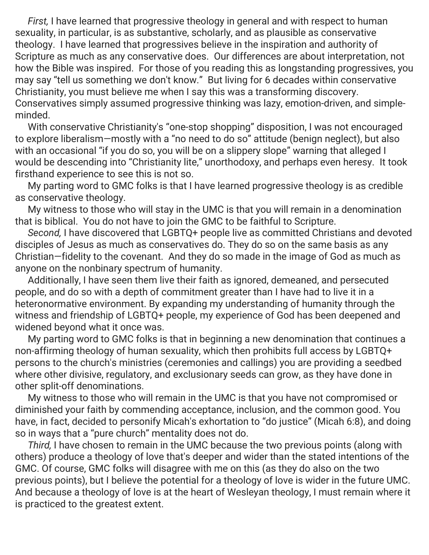*First,* I have learned that progressive theology in general and with respect to human sexuality, in particular, is as substantive, scholarly, and as plausible as conservative theology. I have learned that progressives believe in the inspiration and authority of Scripture as much as any conservative does. Our differences are about interpretation, not how the Bible was inspired. For those of you reading this as longstanding progressives, you may say "tell us something we don't know." But living for 6 decades within conservative Christianity, you must believe me when I say this was a transforming discovery. Conservatives simply assumed progressive thinking was lazy, emotion-driven, and simpleminded.

With conservative Christianity's "one-stop shopping" disposition, I was not encouraged to explore liberalism—mostly with a "no need to do so" attitude (benign neglect), but also with an occasional "if you do so, you will be on a slippery slope" warning that alleged I would be descending into "Christianity lite," unorthodoxy, and perhaps even heresy. It took firsthand experience to see this is not so.

My parting word to GMC folks is that I have learned progressive theology is as credible as conservative theology.

My witness to those who will stay in the UMC is that you will remain in a denomination that is biblical. You do not have to join the GMC to be faithful to Scripture.

*Second,* I have discovered that LGBTQ+ people live as committed Christians and devoted disciples of Jesus as much as conservatives do. They do so on the same basis as any Christian—fidelity to the covenant. And they do so made in the image of God as much as anyone on the nonbinary spectrum of humanity.

Additionally, I have seen them live their faith as ignored, demeaned, and persecuted people, and do so with a depth of commitment greater than I have had to live it in a heteronormative environment. By expanding my understanding of humanity through the witness and friendship of LGBTQ+ people, my experience of God has been deepened and widened beyond what it once was.

My parting word to GMC folks is that in beginning a new denomination that continues a non-affirming theology of human sexuality, which then prohibits full access by LGBTQ+ persons to the church's ministries (ceremonies and callings) you are providing a seedbed where other divisive, regulatory, and exclusionary seeds can grow, as they have done in other split-off denominations.

My witness to those who will remain in the UMC is that you have not compromised or diminished your faith by commending acceptance, inclusion, and the common good. You have, in fact, decided to personify Micah's exhortation to "do justice" (Micah 6:8), and doing so in ways that a "pure church" mentality does not do.

*Third,* I have chosen to remain in the UMC because the two previous points (along with others) produce a theology of love that's deeper and wider than the stated intentions of the GMC. Of course, GMC folks will disagree with me on this (as they do also on the two previous points), but I believe the potential for a theology of love is wider in the future UMC. And because a theology of love is at the heart of Wesleyan theology, I must remain where it is practiced to the greatest extent.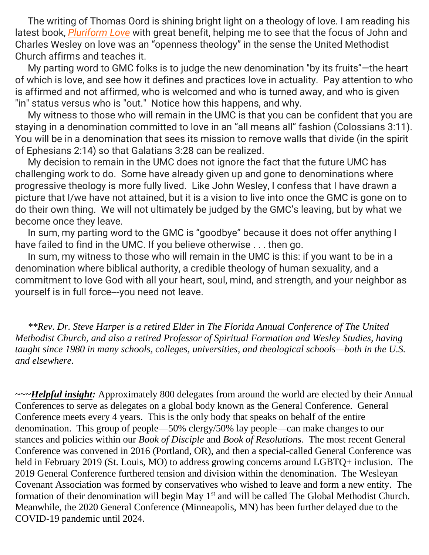The writing of Thomas Oord is shining bright light on a theology of love. I am reading his latest book, *[Pluriform](https://www.amazon.com/Pluriform-Love-Relational-Theology-Well-Being/dp/1948609576/ref=tmm_pap_swatch_0?_encoding=UTF8&qid=&sr=) Love* with great benefit, helping me to see that the focus of John and Charles Wesley on love was an "openness theology" in the sense the United Methodist Church affirms and teaches it.

My parting word to GMC folks is to judge the new denomination "by its fruits"—the heart of which is love, and see how it defines and practices love in actuality. Pay attention to who is affirmed and not affirmed, who is welcomed and who is turned away, and who is given "in" status versus who is "out." Notice how this happens, and why.

My witness to those who will remain in the UMC is that you can be confident that you are staying in a denomination committed to love in an "all means all" fashion (Colossians 3:11). You will be in a denomination that sees its mission to remove walls that divide (in the spirit of Ephesians 2:14) so that Galatians 3:28 can be realized.

My decision to remain in the UMC does not ignore the fact that the future UMC has challenging work to do. Some have already given up and gone to denominations where progressive theology is more fully lived. Like John Wesley, I confess that I have drawn a picture that I/we have not attained, but it is a vision to live into once the GMC is gone on to do their own thing. We will not ultimately be judged by the GMC's leaving, but by what we become once they leave.

In sum, my parting word to the GMC is "goodbye" because it does not offer anything I have failed to find in the UMC. If you believe otherwise . . . then go.

In sum, my witness to those who will remain in the UMC is this: if you want to be in a denomination where biblical authority, a credible theology of human sexuality, and a commitment to love God with all your heart, soul, mind, and strength, and your neighbor as yourself is in full force---you need not leave.

*\*\*Rev. Dr. Steve Harper is a retired Elder in The Florida Annual Conference of The United Methodist Church, and also a retired Professor of Spiritual Formation and Wesley Studies, having taught since 1980 in many schools, colleges, universities, and theological schools—both in the U.S. and elsewhere.*

~~~*Helpful insight:* Approximately 800 delegates from around the world are elected by their Annual Conferences to serve as delegates on a global body known as the General Conference. General Conference meets every 4 years. This is the only body that speaks on behalf of the entire denomination. This group of people—50% clergy/50% lay people—can make changes to our stances and policies within our *Book of Disciple* and *Book of Resolutions*. The most recent General Conference was convened in 2016 (Portland, OR), and then a special-called General Conference was held in February 2019 (St. Louis, MO) to address growing concerns around LGBTQ+ inclusion. The 2019 General Conference furthered tension and division within the denomination. The Wesleyan Covenant Association was formed by conservatives who wished to leave and form a new entity. The formation of their denomination will begin May 1<sup>st</sup> and will be called The Global Methodist Church. Meanwhile, the 2020 General Conference (Minneapolis, MN) has been further delayed due to the COVID-19 pandemic until 2024.